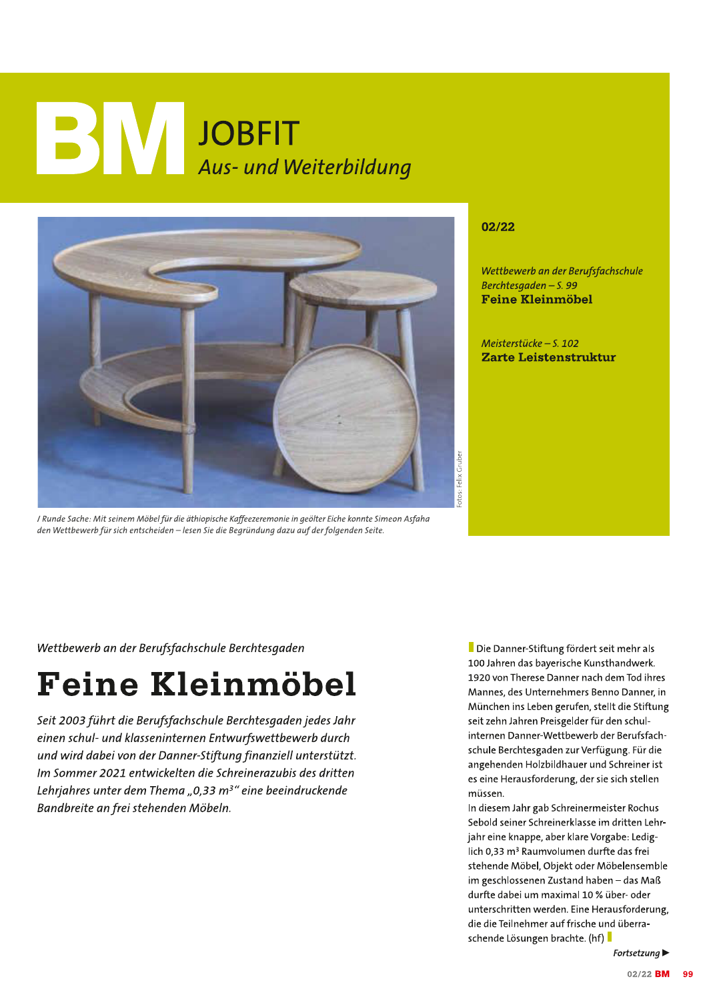## JOBFIT<br>Aus- und Weiterbildung



I Runde Sache: Mit seinem Möbel für die äthiopische Kaffeezeremonie in geölter Eiche konnte Simeon Asfaha den Wettbewerb für sich entscheiden - lesen Sie die Begründung dazu auf der folgenden Seite.

## 02/22

Wettbewerb an der Berufsfachschule Berchtesgaden - S. 99 **Feine Kleinmöbel** 

Meisterstücke - S. 102 Zarte Leistenstruktur

Wettbewerb an der Berufsfachschule Berchtesgaden

## **Feine Kleinmöbel**

Seit 2003 führt die Berufsfachschule Berchtesgaden jedes Jahr einen schul- und klasseninternen Entwurfswettbewerb durch und wird dabei von der Danner-Stiftung finanziell unterstützt. Im Sommer 2021 entwickelten die Schreinerazubis des dritten Lehrjahres unter dem Thema "0,33  $m^{3}$ " eine beeindruckende Bandbreite an frei stehenden Möbeln.

Die Danner-Stiftung fördert seit mehr als 100 Jahren das bayerische Kunsthandwerk. 1920 von Therese Danner nach dem Tod ihres Mannes, des Unternehmers Benno Danner, in München ins Leben gerufen, stellt die Stiftung seit zehn Jahren Preisgelder für den schulinternen Danner-Wettbewerb der Berufsfachschule Berchtesgaden zur Verfügung. Für die angehenden Holzbildhauer und Schreiner ist es eine Herausforderung, der sie sich stellen müssen

In diesem Jahr gab Schreinermeister Rochus Sebold seiner Schreinerklasse im dritten Lehrjahr eine knappe, aber klare Vorgabe: Lediglich 0,33 m<sup>3</sup> Raumvolumen durfte das frei stehende Möbel, Objekt oder Möbelensemble im geschlossenen Zustand haben - das Maß durfte dabei um maximal 10 % über- oder unterschritten werden. Eine Herausforderung, die die Teilnehmer auf frische und überraschende Lösungen brachte. (hf)

Fortsetzung $\blacktriangleright$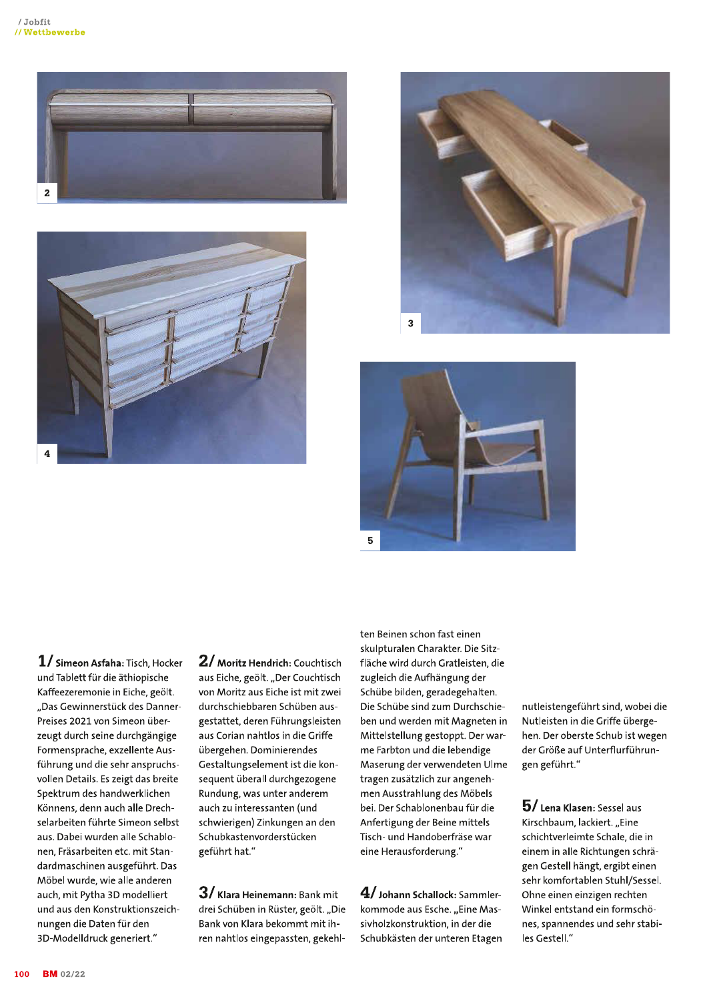







 $1/$  Simeon Asfaha: Tisch, Hocker und Tablett für die äthiopische Kaffeezeremonie in Eiche, geölt. "Das Gewinnerstück des Danner-Preises 2021 von Simeon überzeugt durch seine durchgängige Formensprache, exzellente Ausführung und die sehr anspruchsvollen Details. Es zeigt das breite Spektrum des handwerklichen Könnens, denn auch alle Drechselarbeiten führte Simeon selbst aus. Dabei wurden alle Schablonen, Fräsarbeiten etc. mit Standardmaschinen ausgeführt. Das Möbel wurde, wie alle anderen auch, mit Pytha 3D modelliert und aus den Konstruktionszeichnungen die Daten für den 3D-Modelldruck generiert."

2/ Moritz Hendrich: Couchtisch aus Eiche, geölt. "Der Couchtisch von Moritz aus Eiche ist mit zwei durchschiebbaren Schüben ausgestattet, deren Führungsleisten aus Corian nahtlos in die Griffe übergehen. Dominierendes Gestaltungselement ist die konsequent überall durchgezogene Rundung, was unter anderem auch zu interessanten (und schwierigen) Zinkungen an den Schubkastenvorderstücken geführt hat."

 $3/$  Klara Heinemann: Bank mit drei Schüben in Rüster, geölt. "Die Bank von Klara bekommt mit ihren nahtlos eingepassten, gekehlten Beinen schon fast einen skulpturalen Charakter. Die Sitzfläche wird durch Gratleisten, die zugleich die Aufhängung der Schübe bilden, geradegehalten. Die Schübe sind zum Durchschieben und werden mit Magneten in Mittelstellung gestoppt. Der warme Farbton und die lebendige Maserung der verwendeten Ulme tragen zusätzlich zur angenehmen Ausstrahlung des Möbels bei. Der Schablonenbau für die Anfertigung der Beine mittels Tisch- und Handoberfräse war eine Herausforderung."

 ${\bf 4}$ / Johann Schallock: <code>Sammler-</code> kommode aus Esche. "Eine Massivholzkonstruktion, in der die Schubkästen der unteren Etagen nutleistengeführt sind, wobei die Nutleisten in die Griffe übergehen. Der oberste Schub ist wegen der Größe auf Unterflurführungen geführt."

 $5/$  Lena Klasen: Sessel aus Kirschbaum, lackiert. "Eine schichtverleimte Schale, die in einem in alle Richtungen schrägen Gestell hängt, ergibt einen sehr komfortablen Stuhl/Sessel. Ohne einen einzigen rechten Winkel entstand ein formschönes, spannendes und sehr stabiles Gestell."